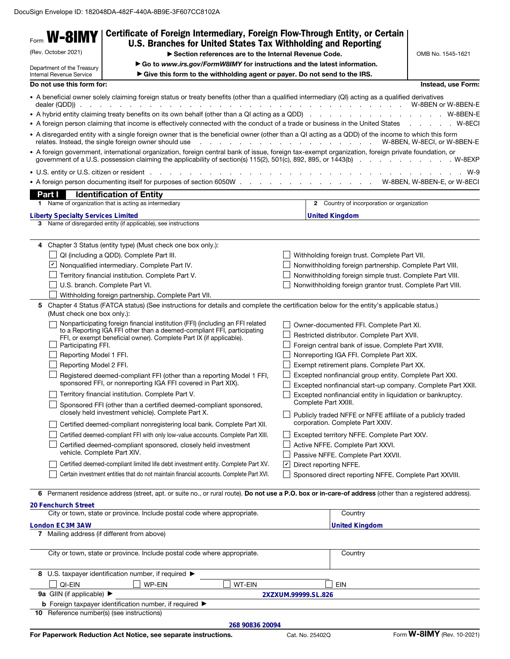| Form <b>W-8IMY</b><br>(Rev. October 2021)<br>Department of the Treasury<br>Internal Revenue Service                              | Certificate of Foreign Intermediary, Foreign Flow-Through Entity, or Certain<br>U.S. Branches for United States Tax Withholding and Reporting<br>Section references are to the Internal Revenue Code.<br>Go to www.irs.gov/FormW8IMY for instructions and the latest information.<br>Give this form to the withholding agent or payer. Do not send to the IRS.                                                                                                                                                                                                                                                                                                                                                                                                                                                                                                               |                     |                                                                                                                                                                                                                                                                                                                                                                                                                                                                                                                                        | OMB No. 1545-1621                                        |
|----------------------------------------------------------------------------------------------------------------------------------|------------------------------------------------------------------------------------------------------------------------------------------------------------------------------------------------------------------------------------------------------------------------------------------------------------------------------------------------------------------------------------------------------------------------------------------------------------------------------------------------------------------------------------------------------------------------------------------------------------------------------------------------------------------------------------------------------------------------------------------------------------------------------------------------------------------------------------------------------------------------------|---------------------|----------------------------------------------------------------------------------------------------------------------------------------------------------------------------------------------------------------------------------------------------------------------------------------------------------------------------------------------------------------------------------------------------------------------------------------------------------------------------------------------------------------------------------------|----------------------------------------------------------|
|                                                                                                                                  |                                                                                                                                                                                                                                                                                                                                                                                                                                                                                                                                                                                                                                                                                                                                                                                                                                                                              |                     |                                                                                                                                                                                                                                                                                                                                                                                                                                                                                                                                        |                                                          |
| Do not use this form for:<br>dealer (QDD)).<br>Part I<br><b>Liberty Specialty Services Limited</b>                               | • A beneficial owner solely claiming foreign status or treaty benefits (other than a qualified intermediary (QI) acting as a qualified derivatives<br>• A foreign person claiming that income is effectively connected with the conduct of a trade or business in the United States W-8ECI<br>• A disregarded entity with a single foreign owner that is the beneficial owner (other than a QI acting as a QDD) of the income to which this form<br>relates. Instead, the single foreign owner should use<br>• A foreign government, international organization, foreign central bank of issue, foreign tax-exempt organization, foreign private foundation, or<br>• U.S. entity or U.S. citizen or resident entering to the contract of the contract of the U.S. entity or U.S.<br><b>Identification of Entity</b><br>1 Name of organization that is acting as intermediary |                     | . W-8BEN, W-8ECI, or W-8BEN-E<br>2 Country of incorporation or organization<br><b>United Kingdom</b>                                                                                                                                                                                                                                                                                                                                                                                                                                   | Instead, use Form:<br>W-9<br>W-8BEN, W-8BEN-E, or W-8ECI |
|                                                                                                                                  | 3 Name of disregarded entity (if applicable), see instructions                                                                                                                                                                                                                                                                                                                                                                                                                                                                                                                                                                                                                                                                                                                                                                                                               |                     |                                                                                                                                                                                                                                                                                                                                                                                                                                                                                                                                        |                                                          |
| 4<br>$ \boldsymbol{v} $<br>(Must check one box only.):<br>Participating FFI.<br>Reporting Model 1 FFI.<br>Reporting Model 2 FFI. | Chapter 3 Status (entity type) (Must check one box only.):<br>QI (including a QDD). Complete Part III.<br>Nonqualified intermediary. Complete Part IV.<br>Territory financial institution. Complete Part V.<br>U.S. branch. Complete Part VI.<br>Withholding foreign partnership. Complete Part VII.<br>5 Chapter 4 Status (FATCA status) (See instructions for details and complete the certification below for the entity's applicable status.)<br>Nonparticipating foreign financial institution (FFI) (including an FFI related<br>to a Reporting IGA FFI other than a deemed-compliant FFI, participating<br>FFI, or exempt beneficial owner). Complete Part IX (if applicable).<br>Registered deemed-compliant FFI (other than a reporting Model 1 FFI,                                                                                                                |                     | Withholding foreign trust. Complete Part VII.<br>Nonwithholding foreign partnership. Complete Part VIII.<br>Nonwithholding foreign simple trust. Complete Part VIII.<br>Nonwithholding foreign grantor trust. Complete Part VIII.<br>Owner-documented FFI. Complete Part XI.<br>Restricted distributor. Complete Part XVII.<br>Foreign central bank of issue. Complete Part XVIII.<br>Nonreporting IGA FFI. Complete Part XIX.<br>Exempt retirement plans. Complete Part XX.<br>Excepted nonfinancial group entity. Complete Part XXI. |                                                          |
|                                                                                                                                  | sponsored FFI, or nonreporting IGA FFI covered in Part XIX).<br>Territory financial institution. Complete Part V.<br>Sponsored FFI (other than a certified deemed-compliant sponsored,<br>closely held investment vehicle). Complete Part X.<br>Certified deemed-compliant nonregistering local bank. Complete Part XII.<br>Certified deemed-compliant FFI with only low-value accounts. Complete Part XIII.<br>Certified deemed-compliant sponsored, closely held investment<br>vehicle. Complete Part XIV.<br>Certified deemed-compliant limited life debt investment entity. Complete Part XV.<br>Certain investment entities that do not maintain financial accounts. Complete Part XVI.                                                                                                                                                                                 |                     | Excepted nonfinancial start-up company. Complete Part XXII.<br>Excepted nonfinancial entity in liquidation or bankruptcy.<br>Complete Part XXIII.<br>Publicly traded NFFE or NFFE affiliate of a publicly traded<br>corporation. Complete Part XXIV.<br>Excepted territory NFFE. Complete Part XXV.<br>Active NFFE. Complete Part XXVI.<br>Passive NFFE. Complete Part XXVII.<br>Direct reporting NFFE.<br>Sponsored direct reporting NFFE. Complete Part XXVIII.                                                                      |                                                          |
| 6<br>20 Fenchurch Street<br>London EC3M 3AW                                                                                      | Permanent residence address (street, apt. or suite no., or rural route). Do not use a P.O. box or in-care-of address (other than a registered address).<br>City or town, state or province. Include postal code where appropriate.<br>7 Mailing address (if different from above)                                                                                                                                                                                                                                                                                                                                                                                                                                                                                                                                                                                            |                     | Country<br><b>United Kingdom</b>                                                                                                                                                                                                                                                                                                                                                                                                                                                                                                       |                                                          |
|                                                                                                                                  | City or town, state or province. Include postal code where appropriate.                                                                                                                                                                                                                                                                                                                                                                                                                                                                                                                                                                                                                                                                                                                                                                                                      |                     | Country                                                                                                                                                                                                                                                                                                                                                                                                                                                                                                                                |                                                          |
| QI-EIN<br>9a GIIN (if applicable) ▶                                                                                              | 8 U.S. taxpayer identification number, if required ><br><b>WP-EIN</b><br>WT-EIN                                                                                                                                                                                                                                                                                                                                                                                                                                                                                                                                                                                                                                                                                                                                                                                              | 2XZXUM.99999.SL.826 | EIN                                                                                                                                                                                                                                                                                                                                                                                                                                                                                                                                    |                                                          |
|                                                                                                                                  | <b>b</b> Foreign taxpayer identification number, if required $\blacktriangleright$<br>10 Reference number(s) (see instructions)                                                                                                                                                                                                                                                                                                                                                                                                                                                                                                                                                                                                                                                                                                                                              |                     |                                                                                                                                                                                                                                                                                                                                                                                                                                                                                                                                        |                                                          |
|                                                                                                                                  | 268 90836 20094                                                                                                                                                                                                                                                                                                                                                                                                                                                                                                                                                                                                                                                                                                                                                                                                                                                              |                     |                                                                                                                                                                                                                                                                                                                                                                                                                                                                                                                                        |                                                          |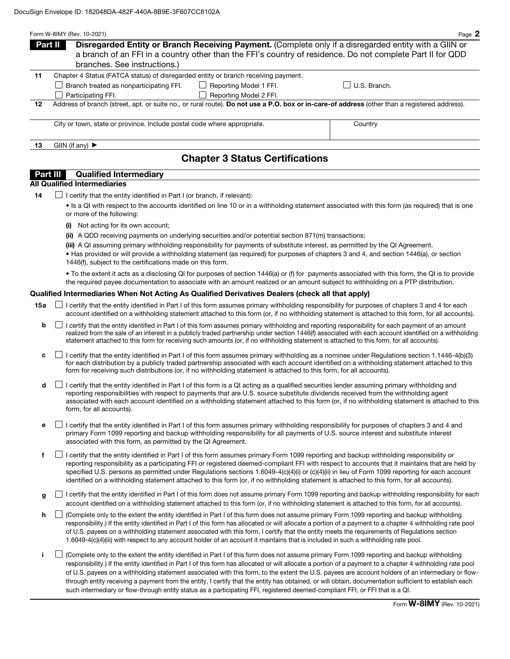|                                                                                          | Form W-8IMY (Rev. 10-2021)                                                                                                                    |                                                                                                       | Page 2                                                                                                     |  |  |
|------------------------------------------------------------------------------------------|-----------------------------------------------------------------------------------------------------------------------------------------------|-------------------------------------------------------------------------------------------------------|------------------------------------------------------------------------------------------------------------|--|--|
|                                                                                          | Part II                                                                                                                                       | Disregarded Entity or Branch Receiving Payment. (Complete only if a disregarded entity with a GIIN or |                                                                                                            |  |  |
|                                                                                          |                                                                                                                                               |                                                                                                       | a branch of an FFI in a country other than the FFI's country of residence. Do not complete Part II for QDD |  |  |
|                                                                                          | branches. See instructions.)                                                                                                                  |                                                                                                       |                                                                                                            |  |  |
| Chapter 4 Status (FATCA status) of disregarded entity or branch receiving payment.<br>11 |                                                                                                                                               |                                                                                                       |                                                                                                            |  |  |
|                                                                                          | Branch treated as nonparticipating FFI.                                                                                                       | Reporting Model 1 FFI.                                                                                | U.S. Branch.                                                                                               |  |  |
|                                                                                          | Participating FFI.                                                                                                                            | Reporting Model 2 FFI.                                                                                |                                                                                                            |  |  |
| 12                                                                                       | Address of branch (street, apt. or suite no., or rural route). Do not use a P.O. box or in-care-of address (other than a registered address). |                                                                                                       |                                                                                                            |  |  |
|                                                                                          |                                                                                                                                               |                                                                                                       |                                                                                                            |  |  |
|                                                                                          | City or town, state or province. Include postal code where appropriate.                                                                       |                                                                                                       | Country                                                                                                    |  |  |
| 13                                                                                       | GIIN (if any) $\blacktriangleright$                                                                                                           |                                                                                                       |                                                                                                            |  |  |
|                                                                                          |                                                                                                                                               | <b>Chapter 3 Status Certifications</b>                                                                |                                                                                                            |  |  |

### **Part III** Qualified Intermediary

# All Qualified Intermediaries

 $14$   $\Box$  I certify that the entity identified in Part I (or branch, if relevant):

• Is a QI with respect to the accounts identified on line 10 or in a withholding statement associated with this form (as required) that is one or more of the following:

- (i) Not acting for its own account;
- (ii) A QDD receiving payments on underlying securities and/or potential section 871(m) transactions;

(iii) A QI assuming primary withholding responsibility for payments of substitute interest, as permitted by the QI Agreement.

• Has provided or will provide a withholding statement (as required) for purposes of chapters 3 and 4, and section 1446(a), or section 1446(f), subject to the certifications made on this form.

• To the extent it acts as a disclosing QI for purposes of section 1446(a) or (f) for payments associated with this form, the QI is to provide the required payee documentation to associate with an amount realized or an amount subject to withholding on a PTP distribution.

### Qualified Intermediaries When Not Acting As Qualified Derivatives Dealers (check all that apply)

- **15a** □ certify that the entity identified in Part I of this form assumes primary withholding responsibility for purposes of chapters 3 and 4 for each account identified on a withholding statement attached to this form (or, if no withholding statement is attached to this form, for all accounts).
	- **b**  $\Box$  I certify that the entity identified in Part I of this form assumes primary withholding and reporting responsibility for each payment of an amount realized from the sale of an interest in a publicly traded partnership under section 1446(f) associated with each account identified on a withholding statement attached to this form for receiving such amounts (or, if no withholding statement is attached to this form, for all accounts).
	- c  $\Box$  I certify that the entity identified in Part I of this form assumes primary withholding as a nominee under Regulations section 1.1446-4(b)(3) for each distribution by a publicly traded partnership associated with each account identified on a withholding statement attached to this form for receiving such distributions (or, if no withholding statement is attached to this form, for all accounts).
	- $\mathsf{d}$  I certify that the entity identified in Part I of this form is a QI acting as a qualified securities lender assuming primary withholding and reporting responsibilities with respect to payments that are U.S. source substitute dividends received from the withholding agent associated with each account identified on a withholding statement attached to this form (or, if no withholding statement is attached to this form, for all accounts).
	- e  $\Box$  I certify that the entity identified in Part I of this form assumes primary withholding responsibility for purposes of chapters 3 and 4 and primary Form 1099 reporting and backup withholding responsibility for all payments of U.S. source interest and substitute interest associated with this form, as permitted by the QI Agreement.
	- f  $\Box$  I certify that the entity identified in Part I of this form assumes primary Form 1099 reporting and backup withholding responsibility or reporting responsibility as a participating FFI or registered deemed-compliant FFI with respect to accounts that it maintains that are held by specified U.S. persons as permitted under Regulations sections 1.6049-4(c)(4)(i) or (c)(4)(ii) in lieu of Form 1099 reporting for each account identified on a withholding statement attached to this form (or, if no withholding statement is attached to this form, for all accounts).
	- q I certify that the entity identified in Part I of this form does not assume primary Form 1099 reporting and backup withholding responsibility for each account identified on a withholding statement attached to this form (or, if no withholding statement is attached to this form, for all accounts).
	- h  $\Box$  (Complete only to the extent the entity identified in Part I of this form does not assume primary Form 1099 reporting and backup withholding responsibility.) If the entity identified in Part I of this form has allocated or will allocate a portion of a payment to a chapter 4 withholding rate pool of U.S. payees on a withholding statement associated with this form, I certify that the entity meets the requirements of Regulations section 1.6049-4(c)(4)(iii) with respect to any account holder of an account it maintains that is included in such a withholding rate pool.
	- i (Complete only to the extent the entity identified in Part I of this form does not assume primary Form 1099 reporting and backup withholding responsibility.) If the entity identified in Part I of this form has allocated or will allocate a portion of a payment to a chapter 4 withholding rate pool of U.S. payees on a withholding statement associated with this form, to the extent the U.S. payees are account holders of an intermediary or flowthrough entity receiving a payment from the entity, I certify that the entity has obtained, or will obtain, documentation sufficient to establish each such intermediary or flow-through entity status as a participating FFI, registered deemed-compliant FFI, or FFI that is a QI.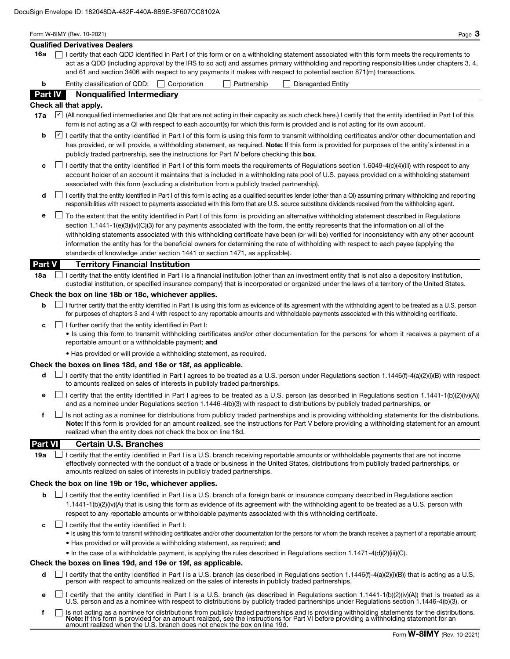|                | Form W-8IMY (Rev. 10-2021)<br>Page $3$<br><b>Qualified Derivatives Dealers</b>                                                                                                                                                                                                                                                                                                                                                                                                                                                                                                                                                                            |
|----------------|-----------------------------------------------------------------------------------------------------------------------------------------------------------------------------------------------------------------------------------------------------------------------------------------------------------------------------------------------------------------------------------------------------------------------------------------------------------------------------------------------------------------------------------------------------------------------------------------------------------------------------------------------------------|
| 16a            | I certify that each QDD identified in Part I of this form or on a withholding statement associated with this form meets the requirements to                                                                                                                                                                                                                                                                                                                                                                                                                                                                                                               |
|                | act as a QDD (including approval by the IRS to so act) and assumes primary withholding and reporting responsibilities under chapters 3, 4,<br>and 61 and section 3406 with respect to any payments it makes with respect to potential section 871(m) transactions.                                                                                                                                                                                                                                                                                                                                                                                        |
| b              | Entity classification of QDD:   Corporation<br>Partnership<br><b>Disregarded Entity</b>                                                                                                                                                                                                                                                                                                                                                                                                                                                                                                                                                                   |
| Part IV        | <b>Nonqualified Intermediary</b>                                                                                                                                                                                                                                                                                                                                                                                                                                                                                                                                                                                                                          |
|                | Check all that apply.                                                                                                                                                                                                                                                                                                                                                                                                                                                                                                                                                                                                                                     |
| 17a            | All nonqualified intermediaries and QIs that are not acting in their capacity as such check here.) I certify that the entity identified in Part I of this<br>form is not acting as a QI with respect to each account(s) for which this form is provided and is not acting for its own account.                                                                                                                                                                                                                                                                                                                                                            |
| b              | I certify that the entity identified in Part I of this form is using this form to transmit withholding certificates and/or other documentation and<br>has provided, or will provide, a withholding statement, as required. Note: If this form is provided for purposes of the entity's interest in a<br>publicly traded partnership, see the instructions for Part IV before checking this box.                                                                                                                                                                                                                                                           |
| c              | I certify that the entity identified in Part I of this form meets the requirements of Regulations section 1.6049-4(c)(4)(iii) with respect to any<br>account holder of an account it maintains that is included in a withholding rate pool of U.S. payees provided on a withholding statement<br>associated with this form (excluding a distribution from a publicly traded partnership).                                                                                                                                                                                                                                                                 |
| d              | I certify that the entity identified in Part I of this form is acting as a qualified securities lender (other than a QI) assuming primary withholding and reporting<br>responsibilities with respect to payments associated with this form that are U.S. source substitute dividends received from the withholding agent.                                                                                                                                                                                                                                                                                                                                 |
| е              | To the extent that the entity identified in Part I of this form is providing an alternative withholding statement described in Regulations<br>section 1.1441-1(e)(3)(iv)(C)(3) for any payments associated with the form, the entity represents that the information on all of the<br>withholding statements associated with this withholding certificate have been (or will be) verified for inconsistency with any other account<br>information the entity has for the beneficial owners for determining the rate of withholding with respect to each payee (applying the<br>standards of knowledge under section 1441 or section 1471, as applicable). |
| Part V         | <b>Territory Financial Institution</b>                                                                                                                                                                                                                                                                                                                                                                                                                                                                                                                                                                                                                    |
| 18а            | I certify that the entity identified in Part I is a financial institution (other than an investment entity that is not also a depository institution,<br>custodial institution, or specified insurance company) that is incorporated or organized under the laws of a territory of the United States.                                                                                                                                                                                                                                                                                                                                                     |
|                | Check the box on line 18b or 18c, whichever applies.                                                                                                                                                                                                                                                                                                                                                                                                                                                                                                                                                                                                      |
| b              | I further certify that the entity identified in Part I is using this form as evidence of its agreement with the withholding agent to be treated as a U.S. person<br>for purposes of chapters 3 and 4 with respect to any reportable amounts and withholdable payments associated with this withholding certificate.                                                                                                                                                                                                                                                                                                                                       |
| c              | I further certify that the entity identified in Part I:<br>• Is using this form to transmit withholding certificates and/or other documentation for the persons for whom it receives a payment of a<br>reportable amount or a withholdable payment; and                                                                                                                                                                                                                                                                                                                                                                                                   |
|                | • Has provided or will provide a withholding statement, as required.                                                                                                                                                                                                                                                                                                                                                                                                                                                                                                                                                                                      |
|                | Check the boxes on lines 18d, and 18e or 18f, as applicable.                                                                                                                                                                                                                                                                                                                                                                                                                                                                                                                                                                                              |
| d              | I certify that the entity identified in Part I agrees to be treated as a U.S. person under Regulations section 1.1446(f)-4(a)(2)(i)(B) with respect<br>to amounts realized on sales of interests in publicly traded partnerships.                                                                                                                                                                                                                                                                                                                                                                                                                         |
| е              | I certify that the entity identified in Part I agrees to be treated as a U.S. person (as described in Regulations section 1.1441-1(b)(2)(iv)(A))<br>and as a nominee under Regulations section 1.1446-4(b)(3) with respect to distributions by publicly traded partnerships, or                                                                                                                                                                                                                                                                                                                                                                           |
| f              | Is not acting as a nominee for distributions from publicly traded partnerships and is providing withholding statements for the distributions.<br>Note: If this form is provided for an amount realized, see the instructions for Part V before providing a withholding statement for an amount<br>realized when the entity does not check the box on line 18d.                                                                                                                                                                                                                                                                                            |
| <b>Part VI</b> | <b>Certain U.S. Branches</b>                                                                                                                                                                                                                                                                                                                                                                                                                                                                                                                                                                                                                              |
| 19а            | I certify that the entity identified in Part I is a U.S. branch receiving reportable amounts or withholdable payments that are not income<br>effectively connected with the conduct of a trade or business in the United States, distributions from publicly traded partnerships, or<br>amounts realized on sales of interests in publicly traded partnerships.                                                                                                                                                                                                                                                                                           |
|                | Check the box on line 19b or 19c, whichever applies.                                                                                                                                                                                                                                                                                                                                                                                                                                                                                                                                                                                                      |
| b              | I certify that the entity identified in Part I is a U.S. branch of a foreign bank or insurance company described in Regulations section<br>1.1441-1(b)(2)(iv)(A) that is using this form as evidence of its agreement with the withholding agent to be treated as a U.S. person with<br>respect to any reportable amounts or withholdable payments associated with this withholding certificate.                                                                                                                                                                                                                                                          |
| c              | $\Box$ I certify that the entity identified in Part I:<br>• Is using this form to transmit withholding certificates and/or other documentation for the persons for whom the branch receives a payment of a reportable amount;<br>• Has provided or will provide a withholding statement, as required; and                                                                                                                                                                                                                                                                                                                                                 |
|                | • In the case of a withholdable payment, is applying the rules described in Regulations section 1.1471-4(d)(2)(iii)(C).<br>Check the boxes on lines 19d, and 19e or 19f, as applicable.                                                                                                                                                                                                                                                                                                                                                                                                                                                                   |
| d              | I certify that the entity identified in Part I is a U.S. branch (as described in Regulations section 1.1446(f)-4(a)(2)(i)(B)) that is acting as a U.S.<br>person with respect to amounts realized on the sales of interests in publicly traded partnerships,                                                                                                                                                                                                                                                                                                                                                                                              |
|                |                                                                                                                                                                                                                                                                                                                                                                                                                                                                                                                                                                                                                                                           |

- **e**  $\Box$  I certify that the entity identified in Part I is a U.S. branch (as described in Regulations section 1.1441-1(b)(2)(iv)(A)) that is treated as a U.S. person and as a nominee with respect to distributions by publicly traded partnerships under Regulations section 1.1446-4(b)(3), or
- Is not acting as a nominee for distributions from publicly traded partnerships and is providing withholding statements for the distributions.<br>**Note:** If this form is provided for an amount realized, see the instructions fo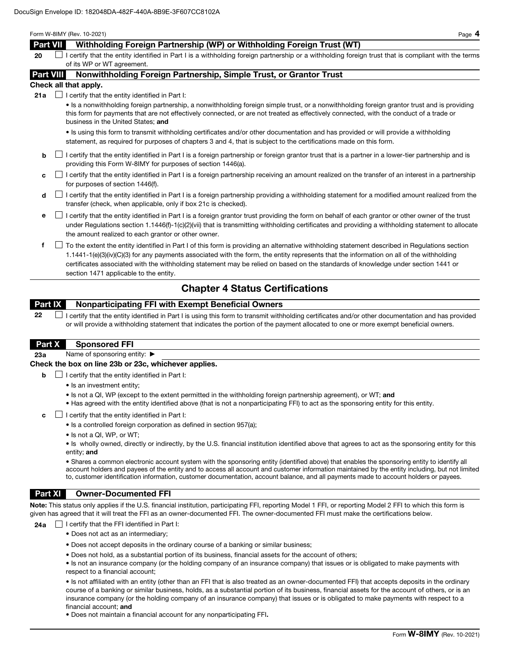#### Form W-8IMY (Rev. 10-2021) Page 4

# Part VII Withholding Foreign Partnership (WP) or Withholding Foreign Trust (WT)

 $20$  I certify that the entity identified in Part I is a withholding foreign partnership or a withholding foreign trust that is compliant with the terms of its WP or WT agreement.

### Part VIII Nonwithholding Foreign Partnership, Simple Trust, or Grantor Trust

#### Check all that apply.

**21a**  $\Box$  I certify that the entity identified in Part I:

• Is a nonwithholding foreign partnership, a nonwithholding foreign simple trust, or a nonwithholding foreign grantor trust and is providing this form for payments that are not effectively connected, or are not treated as effectively connected, with the conduct of a trade or business in the United States; and

• Is using this form to transmit withholding certificates and/or other documentation and has provided or will provide a withholding statement, as required for purposes of chapters 3 and 4, that is subject to the certifications made on this form.

- $\mathsf{b}$  I certify that the entity identified in Part I is a foreign partnership or foreign grantor trust that is a partner in a lower-tier partnership and is providing this Form W-8IMY for purposes of section 1446(a).
- $c \Box$  I certify that the entity identified in Part I is a foreign partnership receiving an amount realized on the transfer of an interest in a partnership for purposes of section 1446(f).
- $\mathsf d$  I certify that the entity identified in Part I is a foreign partnership providing a withholding statement for a modified amount realized from the transfer (check, when applicable, only if box 21c is checked).
- e I certify that the entity identified in Part I is a foreign grantor trust providing the form on behalf of each grantor or other owner of the trust under Regulations section 1.1446(f)-1(c)(2)(vii) that is transmitting withholding certificates and providing a withholding statement to allocate the amount realized to each grantor or other owner.
- f To the extent the entity identified in Part I of this form is providing an alternative withholding statement described in Regulations section 1.1441-1(e)(3)(iv)(C)(3) for any payments associated with the form, the entity represents that the information on all of the withholding certificates associated with the withholding statement may be relied on based on the standards of knowledge under section 1441 or section 1471 applicable to the entity.

# Chapter 4 Status Certifications

# Part IX Nonparticipating FFI with Exempt Beneficial Owners

 $22$   $\Box$  I certify that the entity identified in Part I is using this form to transmit withholding certificates and/or other documentation and has provided or will provide a withholding statement that indicates the portion of the payment allocated to one or more exempt beneficial owners.

### Part X Sponsored FFI

23a Name of sponsoring entity: ▶

### Check the box on line 23b or 23c, whichever applies.

- $\Box$  I certify that the entity identified in Part I:
	- Is an investment entity;
	- Is not a QI, WP (except to the extent permitted in the withholding foreign partnership agreement), or WT; and
	- Has agreed with the entity identified above (that is not a nonparticipating FFI) to act as the sponsoring entity for this entity.
- c  $\Box$  I certify that the entity identified in Part I:
	- Is a controlled foreign corporation as defined in section 957(a);
	- Is not a QI, WP, or WT;

• Is wholly owned, directly or indirectly, by the U.S. financial institution identified above that agrees to act as the sponsoring entity for this entity; and

• Shares a common electronic account system with the sponsoring entity (identified above) that enables the sponsoring entity to identify all account holders and payees of the entity and to access all account and customer information maintained by the entity including, but not limited to, customer identification information, customer documentation, account balance, and all payments made to account holders or payees.

### Part XI Owner-Documented FFI

Note: This status only applies if the U.S. financial institution, participating FFI, reporting Model 1 FFI, or reporting Model 2 FFI to which this form is given has agreed that it will treat the FFI as an owner-documented FFI. The owner-documented FFI must make the certifications below.

**24a**  $\Box$  I certify that the FFI identified in Part I:

- Does not act as an intermediary;
- Does not accept deposits in the ordinary course of a banking or similar business;
- Does not hold, as a substantial portion of its business, financial assets for the account of others;
- Is not an insurance company (or the holding company of an insurance company) that issues or is obligated to make payments with respect to a financial account;

• Is not affiliated with an entity (other than an FFI that is also treated as an owner-documented FFI) that accepts deposits in the ordinary course of a banking or similar business, holds, as a substantial portion of its business, financial assets for the account of others, or is an insurance company (or the holding company of an insurance company) that issues or is obligated to make payments with respect to a financial account; and

• Does not maintain a financial account for any nonparticipating FFI.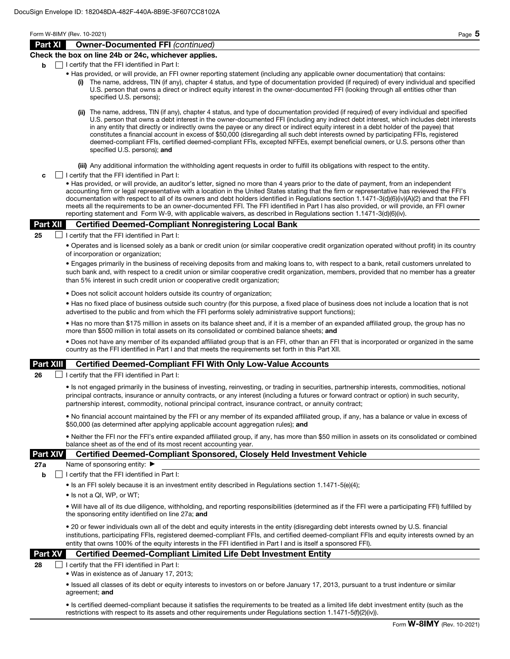Form W-8IMY (Rev. 10-2021) Page 5

### Part XI Owner-Documented FFI *(continued)*

### Check the box on line 24b or 24c, whichever applies.

- $\mathbf{b}$   $\Box$  I certify that the FFI identified in Part I:
	- Has provided, or will provide, an FFI owner reporting statement (including any applicable owner documentation) that contains:
		- The name, address, TIN (if any), chapter 4 status, and type of documentation provided (if required) of every individual and specified U.S. person that owns a direct or indirect equity interest in the owner-documented FFI (looking through all entities other than specified U.S. persons);
		- (ii) The name, address, TIN (if any), chapter 4 status, and type of documentation provided (if required) of every individual and specified U.S. person that owns a debt interest in the owner-documented FFI (including any indirect debt interest, which includes debt interests in any entity that directly or indirectly owns the payee or any direct or indirect equity interest in a debt holder of the payee) that constitutes a financial account in excess of \$50,000 (disregarding all such debt interests owned by participating FFIs, registered deemed-compliant FFIs, certified deemed-compliant FFIs, excepted NFFEs, exempt beneficial owners, or U.S. persons other than specified U.S. persons); and

(iii) Any additional information the withholding agent requests in order to fulfill its obligations with respect to the entity.

 $\mathbf{c}$   $\Box$  I certify that the FFI identified in Part I:

• Has provided, or will provide, an auditor's letter, signed no more than 4 years prior to the date of payment, from an independent accounting firm or legal representative with a location in the United States stating that the firm or representative has reviewed the FFI's documentation with respect to all of its owners and debt holders identified in Regulations section 1.1471-3(d)(6)(iv)(A)(2) and that the FFI meets all the requirements to be an owner-documented FFI. The FFI identified in Part I has also provided, or will provide, an FFI owner reporting statement and Form W-9, with applicable waivers, as described in Regulations section 1.1471-3(d)(6)(iv).

### Part XII Certified Deemed-Compliant Nonregistering Local Bank

25  $\Box$  I certify that the FFI identified in Part I:

• Operates and is licensed solely as a bank or credit union (or similar cooperative credit organization operated without profit) in its country of incorporation or organization;

• Engages primarily in the business of receiving deposits from and making loans to, with respect to a bank, retail customers unrelated to such bank and, with respect to a credit union or similar cooperative credit organization, members, provided that no member has a greater than 5% interest in such credit union or cooperative credit organization;

• Does not solicit account holders outside its country of organization;

• Has no fixed place of business outside such country (for this purpose, a fixed place of business does not include a location that is not advertised to the public and from which the FFI performs solely administrative support functions);

• Has no more than \$175 million in assets on its balance sheet and, if it is a member of an expanded affiliated group, the group has no more than \$500 million in total assets on its consolidated or combined balance sheets; and

• Does not have any member of its expanded affiliated group that is an FFI, other than an FFI that is incorporated or organized in the same country as the FFI identified in Part I and that meets the requirements set forth in this Part XII.

### Part XIII Certified Deemed-Compliant FFI With Only Low-Value Accounts

**26**  $\Box$  I certify that the FFI identified in Part I:

• Is not engaged primarily in the business of investing, reinvesting, or trading in securities, partnership interests, commodities, notional principal contracts, insurance or annuity contracts, or any interest (including a futures or forward contract or option) in such security, partnership interest, commodity, notional principal contract, insurance contract, or annuity contract;

• No financial account maintained by the FFI or any member of its expanded affiliated group, if any, has a balance or value in excess of \$50,000 (as determined after applying applicable account aggregation rules); and

• Neither the FFI nor the FFI's entire expanded affiliated group, if any, has more than \$50 million in assets on its consolidated or combined balance sheet as of the end of its most recent accounting year.

### Part XIV Certified Deemed-Compliant Sponsored, Closely Held Investment Vehicle

27a Name of sponsoring entity: ▶

 $\mathbf{b}$  | I certify that the FFI identified in Part I:

• Is an FFI solely because it is an investment entity described in Regulations section 1.1471-5(e)(4);

• Is not a QI, WP, or WT;

• Will have all of its due diligence, withholding, and reporting responsibilities (determined as if the FFI were a participating FFI) fulfilled by the sponsoring entity identified on line 27a; and

• 20 or fewer individuals own all of the debt and equity interests in the entity (disregarding debt interests owned by U.S. financial institutions, participating FFIs, registered deemed-compliant FFIs, and certified deemed-compliant FFIs and equity interests owned by an entity that owns 100% of the equity interests in the FFI identified in Part I and is itself a sponsored FFI).

### Part XV Certified Deemed-Compliant Limited Life Debt Investment Entity

 $28$  | | certify that the FFI identified in Part I:

• Was in existence as of January 17, 2013;

• Issued all classes of its debt or equity interests to investors on or before January 17, 2013, pursuant to a trust indenture or similar agreement; and

• Is certified deemed-compliant because it satisfies the requirements to be treated as a limited life debt investment entity (such as the restrictions with respect to its assets and other requirements under Regulations section 1.1471-5(f)(2)(iv)).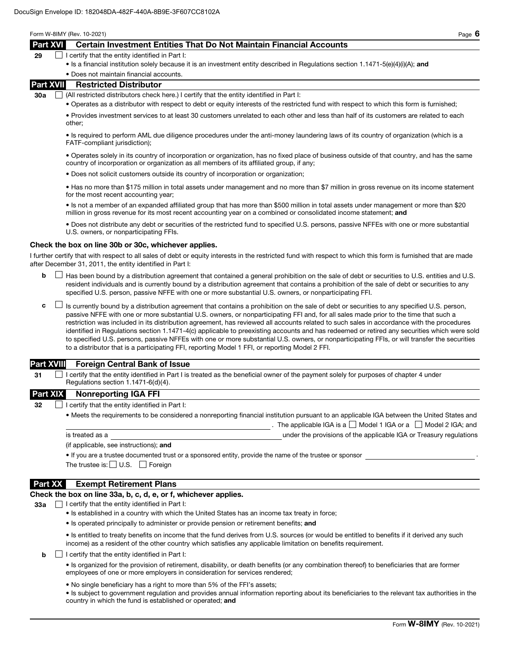Form W-8IMY (Rev. 10-2021) Page 6

## Part XVI Certain Investment Entities That Do Not Maintain Financial Accounts

| 29<br>$\Box$ I certify that the entity identified in Part I: |  |
|--------------------------------------------------------------|--|
|--------------------------------------------------------------|--|

• Is a financial institution solely because it is an investment entity described in Regulations section 1.1471-5(e)(4)(i)(A); and

#### • Does not maintain financial accounts.

### Part XVII Restricted Distributor

30a  $\Box$  (All restricted distributors check here.) I certify that the entity identified in Part I:

• Operates as a distributor with respect to debt or equity interests of the restricted fund with respect to which this form is furnished;

• Provides investment services to at least 30 customers unrelated to each other and less than half of its customers are related to each other;

• Is required to perform AML due diligence procedures under the anti-money laundering laws of its country of organization (which is a FATF-compliant jurisdiction);

• Operates solely in its country of incorporation or organization, has no fixed place of business outside of that country, and has the same country of incorporation or organization as all members of its affiliated group, if any;

• Does not solicit customers outside its country of incorporation or organization;

• Has no more than \$175 million in total assets under management and no more than \$7 million in gross revenue on its income statement for the most recent accounting year;

• Is not a member of an expanded affiliated group that has more than \$500 million in total assets under management or more than \$20 million in gross revenue for its most recent accounting year on a combined or consolidated income statement; and

• Does not distribute any debt or securities of the restricted fund to specified U.S. persons, passive NFFEs with one or more substantial U.S. owners, or nonparticipating FFIs.

#### Check the box on line 30b or 30c, whichever applies.

I further certify that with respect to all sales of debt or equity interests in the restricted fund with respect to which this form is furnished that are made after December 31, 2011, the entity identified in Part I:

- $\mathsf{b}$   $\Box$  Has been bound by a distribution agreement that contained a general prohibition on the sale of debt or securities to U.S. entities and U.S. resident individuals and is currently bound by a distribution agreement that contains a prohibition of the sale of debt or securities to any specified U.S. person, passive NFFE with one or more substantial U.S. owners, or nonparticipating FFI.
- $\mathsf{c}$   $\Box$  Is currently bound by a distribution agreement that contains a prohibition on the sale of debt or securities to any specified U.S. person, passive NFFE with one or more substantial U.S. owners, or nonparticipating FFI and, for all sales made prior to the time that such a restriction was included in its distribution agreement, has reviewed all accounts related to such sales in accordance with the procedures identified in Regulations section 1.1471-4(c) applicable to preexisting accounts and has redeemed or retired any securities which were sold to specified U.S. persons, passive NFFEs with one or more substantial U.S. owners, or nonparticipating FFIs, or will transfer the securities to a distributor that is a participating FFI, reporting Model 1 FFI, or reporting Model 2 FFI.

### Part XVIII Foreign Central Bank of Issue

 $31$  I certify that the entity identified in Part I is treated as the beneficial owner of the payment solely for purposes of chapter 4 under Regulations section 1.1471-6(d)(4).

#### Part XIX Nonreporting IGA FFI

32  $\Box$  I certify that the entity identified in Part I:

• Meets the requirements to be considered a nonreporting financial institution pursuant to an applicable IGA between the United States and . The applicable IGA is a  $\Box$  Model 1 IGA or a  $\Box$  Model 2 IGA; and is treated as a under the provisions of the applicable IGA or Treasury regulations

(if applicable, see instructions); and

• If you are a trustee documented trust or a sponsored entity, provide the name of the trustee or sponsor .

The trustee is:  $\Box$  U.S.  $\Box$  Foreign

### Part XX Exempt Retirement Plans

#### Check the box on line 33a, b, c, d, e, or f, whichever applies.

 $33a$   $\Box$  I certify that the entity identified in Part I:

- Is established in a country with which the United States has an income tax treaty in force;
- Is operated principally to administer or provide pension or retirement benefits; and

• Is entitled to treaty benefits on income that the fund derives from U.S. sources (or would be entitled to benefits if it derived any such income) as a resident of the other country which satisfies any applicable limitation on benefits requirement.

 $\mathbf{b}$   $\Box$  I certify that the entity identified in Part I:

• Is organized for the provision of retirement, disability, or death benefits (or any combination thereof) to beneficiaries that are former employees of one or more employers in consideration for services rendered;

• No single beneficiary has a right to more than 5% of the FFI's assets;

• Is subject to government regulation and provides annual information reporting about its beneficiaries to the relevant tax authorities in the country in which the fund is established or operated; and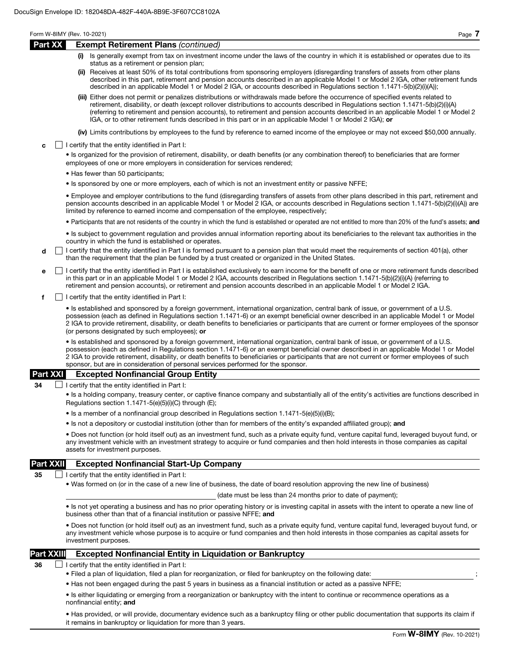|                  |  | Form W-8IMY (Rev. 10-2021)<br>Page 7                                                                                                                                                                                                                                                                                                                                                                                                                                                                                  |
|------------------|--|-----------------------------------------------------------------------------------------------------------------------------------------------------------------------------------------------------------------------------------------------------------------------------------------------------------------------------------------------------------------------------------------------------------------------------------------------------------------------------------------------------------------------|
| Part XX          |  | <b>Exempt Retirement Plans (continued)</b>                                                                                                                                                                                                                                                                                                                                                                                                                                                                            |
|                  |  | (i) Is generally exempt from tax on investment income under the laws of the country in which it is established or operates due to its<br>status as a retirement or pension plan;                                                                                                                                                                                                                                                                                                                                      |
|                  |  | (ii) Receives at least 50% of its total contributions from sponsoring employers (disregarding transfers of assets from other plans<br>described in this part, retirement and pension accounts described in an applicable Model 1 or Model 2 IGA, other retirement funds<br>described in an applicable Model 1 or Model 2 IGA, or accounts described in Regulations section 1.1471-5(b)(2)(i)(A));                                                                                                                     |
|                  |  | (iii) Either does not permit or penalizes distributions or withdrawals made before the occurrence of specified events related to<br>retirement, disability, or death (except rollover distributions to accounts described in Regulations section 1.1471-5(b)(2)(i)(A)<br>(referring to retirement and pension accounts), to retirement and pension accounts described in an applicable Model 1 or Model 2<br>IGA, or to other retirement funds described in this part or in an applicable Model 1 or Model 2 IGA); or |
|                  |  | (iv) Limits contributions by employees to the fund by reference to earned income of the employee or may not exceed \$50,000 annually.                                                                                                                                                                                                                                                                                                                                                                                 |
| c                |  | I certify that the entity identified in Part I:                                                                                                                                                                                                                                                                                                                                                                                                                                                                       |
|                  |  | • Is organized for the provision of retirement, disability, or death benefits (or any combination thereof) to beneficiaries that are former<br>employees of one or more employers in consideration for services rendered;                                                                                                                                                                                                                                                                                             |
|                  |  | • Has fewer than 50 participants;                                                                                                                                                                                                                                                                                                                                                                                                                                                                                     |
|                  |  | • Is sponsored by one or more employers, each of which is not an investment entity or passive NFFE;                                                                                                                                                                                                                                                                                                                                                                                                                   |
|                  |  | • Employee and employer contributions to the fund (disregarding transfers of assets from other plans described in this part, retirement and<br>pension accounts described in an applicable Model 1 or Model 2 IGA, or accounts described in Regulations section 1.1471-5(b)(2)(i)(A)) are<br>limited by reference to earned income and compensation of the employee, respectively;                                                                                                                                    |
|                  |  | • Participants that are not residents of the country in which the fund is established or operated are not entitled to more than 20% of the fund's assets; and                                                                                                                                                                                                                                                                                                                                                         |
|                  |  | • Is subject to government regulation and provides annual information reporting about its beneficiaries to the relevant tax authorities in the<br>country in which the fund is established or operates.                                                                                                                                                                                                                                                                                                               |
| d                |  | I certify that the entity identified in Part I is formed pursuant to a pension plan that would meet the requirements of section 401(a), other<br>than the requirement that the plan be funded by a trust created or organized in the United States.                                                                                                                                                                                                                                                                   |
| е                |  | I certify that the entity identified in Part I is established exclusively to earn income for the benefit of one or more retirement funds described<br>in this part or in an applicable Model 1 or Model 2 IGA, accounts described in Regulations section $1.1471 - 5(b)(2)(i)(A)$ (referring to<br>retirement and pension accounts), or retirement and pension accounts described in an applicable Model 1 or Model 2 IGA.                                                                                            |
| f                |  | I certify that the entity identified in Part I:                                                                                                                                                                                                                                                                                                                                                                                                                                                                       |
|                  |  | • Is established and sponsored by a foreign government, international organization, central bank of issue, or government of a U.S.<br>possession (each as defined in Regulations section 1.1471-6) or an exempt beneficial owner described in an applicable Model 1 or Model<br>2 IGA to provide retirement, disability, or death benefits to beneficiaries or participants that are current or former employees of the sponsor<br>(or persons designated by such employees); or                                      |
|                  |  | • Is established and sponsored by a foreign government, international organization, central bank of issue, or government of a U.S.<br>possession (each as defined in Regulations section 1.1471-6) or an exempt beneficial owner described in an applicable Model 1 or Model<br>2 IGA to provide retirement, disability, or death benefits to beneficiaries or participants that are not current or former employees of such<br>sponsor, but are in consideration of personal services performed for the sponsor.     |
| <b>Part XXI</b>  |  | <b>Excepted Nonfinancial Group Entity</b>                                                                                                                                                                                                                                                                                                                                                                                                                                                                             |
| 34               |  | I certify that the entity identified in Part I:                                                                                                                                                                                                                                                                                                                                                                                                                                                                       |
|                  |  | • Is a holding company, treasury center, or captive finance company and substantially all of the entity's activities are functions described in<br>Regulations section 1.1471-5(e)(5)(i)(C) through (E);                                                                                                                                                                                                                                                                                                              |
|                  |  | • Is a member of a nonfinancial group described in Regulations section 1.1471-5(e)(5)(i)(B);                                                                                                                                                                                                                                                                                                                                                                                                                          |
|                  |  | • Is not a depository or custodial institution (other than for members of the entity's expanded affiliated group); and                                                                                                                                                                                                                                                                                                                                                                                                |
|                  |  | • Does not function (or hold itself out) as an investment fund, such as a private equity fund, venture capital fund, leveraged buyout fund, or<br>any investment vehicle with an investment strategy to acquire or fund companies and then hold interests in those companies as capital<br>assets for investment purposes.                                                                                                                                                                                            |
| <b>Part XXII</b> |  | <b>Excepted Nonfinancial Start-Up Company</b>                                                                                                                                                                                                                                                                                                                                                                                                                                                                         |
| 35               |  | I certify that the entity identified in Part I:                                                                                                                                                                                                                                                                                                                                                                                                                                                                       |
|                  |  | • Was formed on (or in the case of a new line of business, the date of board resolution approving the new line of business)                                                                                                                                                                                                                                                                                                                                                                                           |
|                  |  | (date must be less than 24 months prior to date of payment);                                                                                                                                                                                                                                                                                                                                                                                                                                                          |
|                  |  | • Is not yet operating a business and has no prior operating history or is investing capital in assets with the intent to operate a new line of<br>business other than that of a financial institution or passive NFFE; and                                                                                                                                                                                                                                                                                           |
|                  |  | . Does not function (or hold itself out) as an investment fund, such as a private equity fund, venture capital fund, leveraged buyout fund, or<br>any investment vehicle whose purpose is to acquire or fund companies and then hold interests in those companies as capital assets for<br>investment purposes.                                                                                                                                                                                                       |

## Part XXIII Excepted Nonfinancial Entity in Liquidation or Bankruptcy

 $36$  I certify that the entity identified in Part I:

- Filed a plan of liquidation, filed a plan for reorganization, or filed for bankruptcy on the following date: ;
- Has not been engaged during the past 5 years in business as a financial institution or acted as a passive NFFE;

• Is either liquidating or emerging from a reorganization or bankruptcy with the intent to continue or recommence operations as a nonfinancial entity; and

• Has provided, or will provide, documentary evidence such as a bankruptcy filing or other public documentation that supports its claim if it remains in bankruptcy or liquidation for more than 3 years.